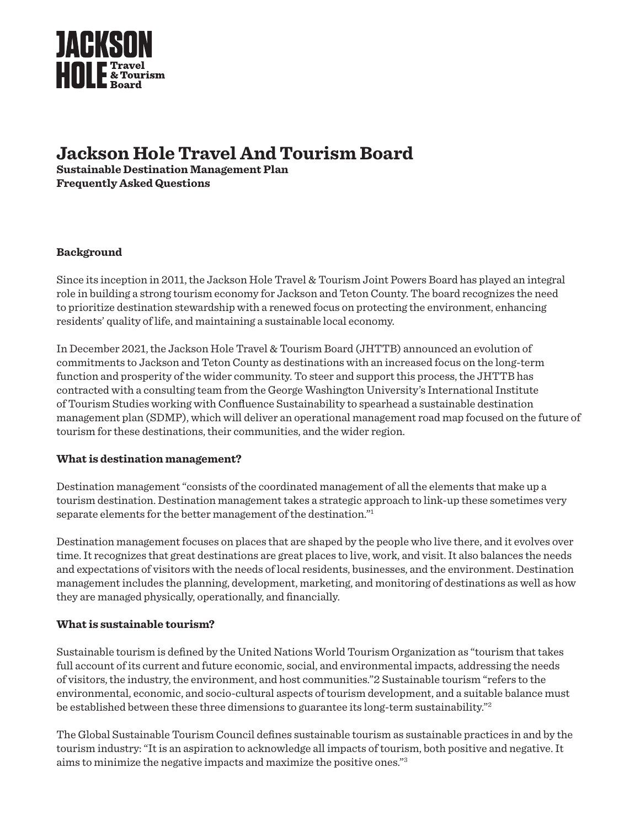

# **Jackson Hole Travel And Tourism Board**

**Sustainable Destination Management Plan Frequently Asked Questions**

# **Background**

Since its inception in 2011, the Jackson Hole Travel & Tourism Joint Powers Board has played an integral role in building a strong tourism economy for Jackson and Teton County. The board recognizes the need to prioritize destination stewardship with a renewed focus on protecting the environment, enhancing residents' quality of life, and maintaining a sustainable local economy.

In December 2021, the Jackson Hole Travel & Tourism Board (JHTTB) announced an evolution of commitments to Jackson and Teton County as destinations with an increased focus on the long-term function and prosperity of the wider community. To steer and support this process, the JHTTB has contracted with a consulting team from the George Washington University's International Institute of Tourism Studies working with Confluence Sustainability to spearhead a sustainable destination management plan (SDMP), which will deliver an operational management road map focused on the future of tourism for these destinations, their communities, and the wider region.

# **What is destination management?**

Destination management "consists of the coordinated management of all the elements that make up a tourism destination. Destination management takes a strategic approach to link-up these sometimes very separate elements for the better management of the destination."1

Destination management focuses on places that are shaped by the people who live there, and it evolves over time. It recognizes that great destinations are great places to live, work, and visit. It also balances the needs and expectations of visitors with the needs of local residents, businesses, and the environment. Destination management includes the planning, development, marketing, and monitoring of destinations as well as how they are managed physically, operationally, and financially.

# **What is sustainable tourism?**

Sustainable tourism is defined by the United Nations World Tourism Organization as "tourism that takes full account of its current and future economic, social, and environmental impacts, addressing the needs of visitors, the industry, the environment, and host communities."2 Sustainable tourism "refers to the environmental, economic, and socio-cultural aspects of tourism development, and a suitable balance must be established between these three dimensions to guarantee its long-term sustainability."2

The Global Sustainable Tourism Council defines sustainable tourism as sustainable practices in and by the tourism industry: "It is an aspiration to acknowledge all impacts of tourism, both positive and negative. It aims to minimize the negative impacts and maximize the positive ones."3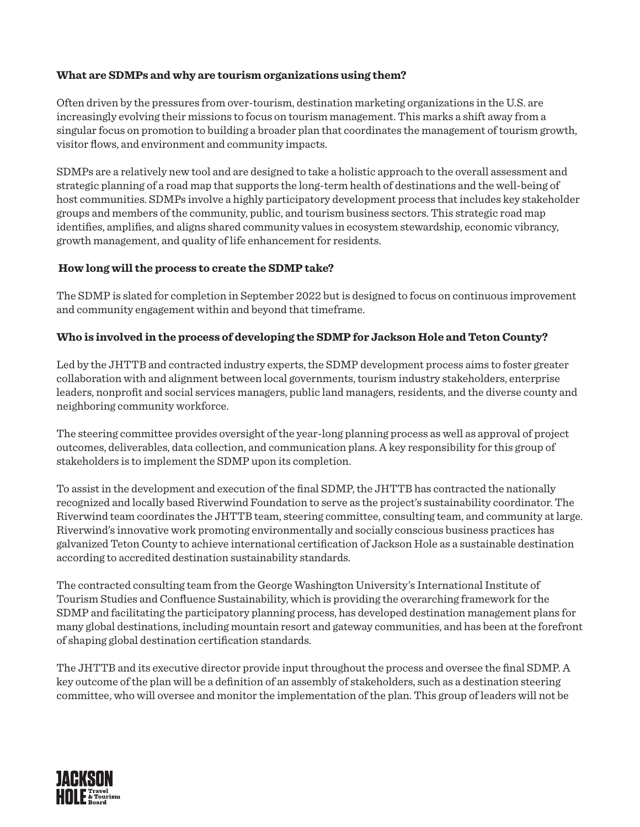# **What are SDMPs and why are tourism organizations using them?**

Often driven by the pressures from over-tourism, destination marketing organizations in the U.S. are increasingly evolving their missions to focus on tourism management. This marks a shift away from a singular focus on promotion to building a broader plan that coordinates the management of tourism growth, visitor flows, and environment and community impacts.

SDMPs are a relatively new tool and are designed to take a holistic approach to the overall assessment and strategic planning of a road map that supports the long-term health of destinations and the well-being of host communities. SDMPs involve a highly participatory development process that includes key stakeholder groups and members of the community, public, and tourism business sectors. This strategic road map identifies, amplifies, and aligns shared community values in ecosystem stewardship, economic vibrancy, growth management, and quality of life enhancement for residents.

#### **How long will the process to create the SDMP take?**

The SDMP is slated for completion in September 2022 but is designed to focus on continuous improvement and community engagement within and beyond that timeframe.

#### **Who is involved in the process of developing the SDMP for Jackson Hole and Teton County?**

Led by the JHTTB and contracted industry experts, the SDMP development process aims to foster greater collaboration with and alignment between local governments, tourism industry stakeholders, enterprise leaders, nonprofit and social services managers, public land managers, residents, and the diverse county and neighboring community workforce.

The steering committee provides oversight of the year-long planning process as well as approval of project outcomes, deliverables, data collection, and communication plans. A key responsibility for this group of stakeholders is to implement the SDMP upon its completion.

To assist in the development and execution of the final SDMP, the JHTTB has contracted the nationally recognized and locally based Riverwind Foundation to serve as the project's sustainability coordinator. The Riverwind team coordinates the JHTTB team, steering committee, consulting team, and community at large. Riverwind's innovative work promoting environmentally and socially conscious business practices has galvanized Teton County to achieve international certification of Jackson Hole as a sustainable destination according to accredited destination sustainability standards.

The contracted consulting team from the George Washington University's International Institute of Tourism Studies and Confluence Sustainability, which is providing the overarching framework for the SDMP and facilitating the participatory planning process, has developed destination management plans for many global destinations, including mountain resort and gateway communities, and has been at the forefront of shaping global destination certification standards.

The JHTTB and its executive director provide input throughout the process and oversee the final SDMP. A key outcome of the plan will be a definition of an assembly of stakeholders, such as a destination steering committee, who will oversee and monitor the implementation of the plan. This group of leaders will not be

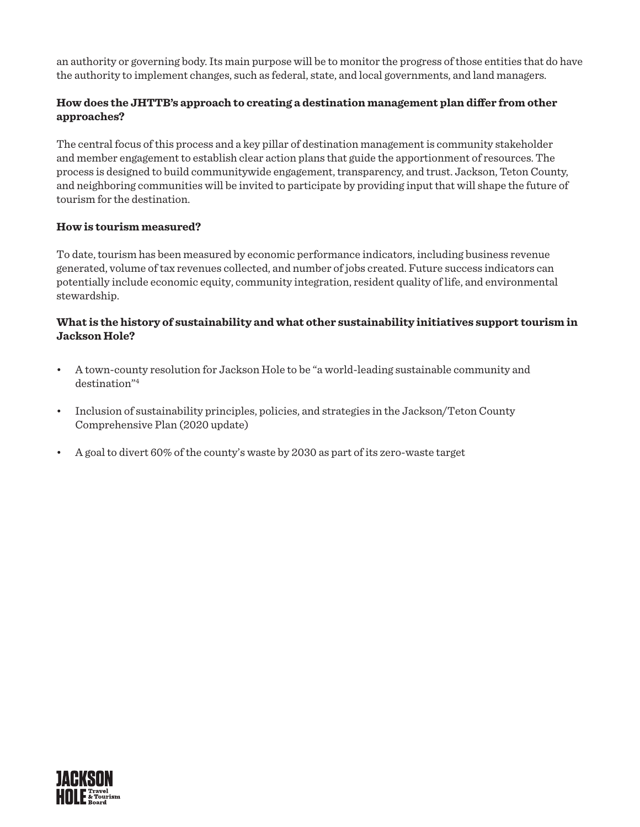an authority or governing body. Its main purpose will be to monitor the progress of those entities that do have the authority to implement changes, such as federal, state, and local governments, and land managers.

# **How does the JHTTB's approach to creating a destination management plan differ from other approaches?**

The central focus of this process and a key pillar of destination management is community stakeholder and member engagement to establish clear action plans that guide the apportionment of resources. The process is designed to build communitywide engagement, transparency, and trust. Jackson, Teton County, and neighboring communities will be invited to participate by providing input that will shape the future of tourism for the destination.

# **How is tourism measured?**

To date, tourism has been measured by economic performance indicators, including business revenue generated, volume of tax revenues collected, and number of jobs created. Future success indicators can potentially include economic equity, community integration, resident quality of life, and environmental stewardship.

# **What is the history of sustainability and what other sustainability initiatives support tourism in Jackson Hole?**

- A town-county resolution for Jackson Hole to be "a world-leading sustainable community and destination"<sup>4</sup>
- Inclusion of sustainability principles, policies, and strategies in the Jackson/Teton County Comprehensive Plan (2020 update)
- A goal to divert 60% of the county's waste by 2030 as part of its zero-waste target

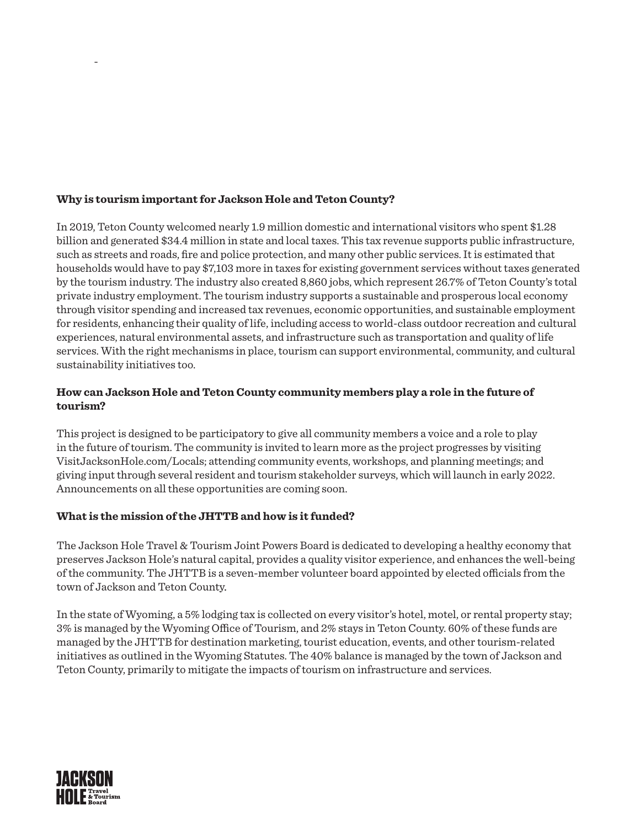# **Why is tourism important for Jackson Hole and Teton County?**

In 2019, Teton County welcomed nearly 1.9 million domestic and international visitors who spent \$1.28 billion and generated \$34.4 million in state and local taxes. This tax revenue supports public infrastructure, such as streets and roads, fire and police protection, and many other public services. It is estimated that households would have to pay \$7,103 more in taxes for existing government services without taxes generated by the tourism industry. The industry also created 8,860 jobs, which represent 26.7% of Teton County's total private industry employment. The tourism industry supports a sustainable and prosperous local economy through visitor spending and increased tax revenues, economic opportunities, and sustainable employment for residents, enhancing their quality of life, including access to world-class outdoor recreation and cultural experiences, natural environmental assets, and infrastructure such as transportation and quality of life services. With the right mechanisms in place, tourism can support environmental, community, and cultural sustainability initiatives too.

# **How can Jackson Hole and Teton County community members play a role in the future of tourism?**

This project is designed to be participatory to give all community members a voice and a role to play in the future of tourism. The community is invited to learn more as the project progresses by visiting VisitJacksonHole.com/Locals; attending community events, workshops, and planning meetings; and giving input through several resident and tourism stakeholder surveys, which will launch in early 2022. Announcements on all these opportunities are coming soon.

# **What is the mission of the JHTTB and how is it funded?**

The Jackson Hole Travel & Tourism Joint Powers Board is dedicated to developing a healthy economy that preserves Jackson Hole's natural capital, provides a quality visitor experience, and enhances the well-being of the community. The JHTTB is a seven-member volunteer board appointed by elected officials from the town of Jackson and Teton County.

In the state of Wyoming, a 5% lodging tax is collected on every visitor's hotel, motel, or rental property stay; 3% is managed by the Wyoming Office of Tourism, and 2% stays in Teton County. 60% of these funds are managed by the JHTTB for destination marketing, tourist education, events, and other tourism-related initiatives as outlined in the Wyoming Statutes. The 40% balance is managed by the town of Jackson and Teton County, primarily to mitigate the impacts of tourism on infrastructure and services.



-